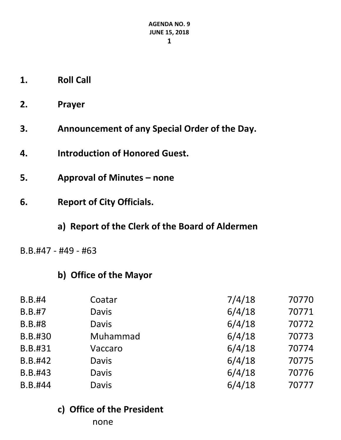- **1. Roll Call**
- **2. Prayer**
- **3. Announcement of any Special Order of the Day.**
- **4. Introduction of Honored Guest.**
- **5. Approval of Minutes – none**
- **6. Report of City Officials.**
	- **a) Report of the Clerk of the Board of Aldermen**

B.B.#47 - #49 - #63

#### **b) Office of the Mayor**

| Coatar       | 7/4/18 | 70770 |
|--------------|--------|-------|
| <b>Davis</b> | 6/4/18 | 70771 |
| <b>Davis</b> | 6/4/18 | 70772 |
| Muhammad     | 6/4/18 | 70773 |
| Vaccaro      | 6/4/18 | 70774 |
| Davis        | 6/4/18 | 70775 |
| <b>Davis</b> | 6/4/18 | 70776 |
| <b>Davis</b> | 6/4/18 | 70777 |
|              |        |       |

**c) Office of the President**

none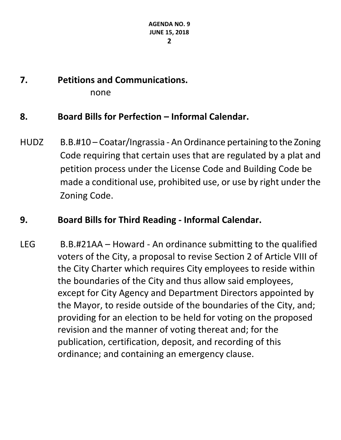#### **7. Petitions and Communications.** none

#### **8. Board Bills for Perfection – Informal Calendar.**

HUDZ B.B.#10 – Coatar/Ingrassia - An Ordinance pertaining to the Zoning Code requiring that certain uses that are regulated by a plat and petition process under the License Code and Building Code be made a conditional use, prohibited use, or use by right under the Zoning Code.

#### **9. Board Bills for Third Reading - Informal Calendar.**

LEG B.B.#21AA – Howard - An ordinance submitting to the qualified voters of the City, a proposal to revise Section 2 of Article VIII of the City Charter which requires City employees to reside within the boundaries of the City and thus allow said employees, except for City Agency and Department Directors appointed by the Mayor, to reside outside of the boundaries of the City, and; providing for an election to be held for voting on the proposed revision and the manner of voting thereat and; for the publication, certification, deposit, and recording of this ordinance; and containing an emergency clause.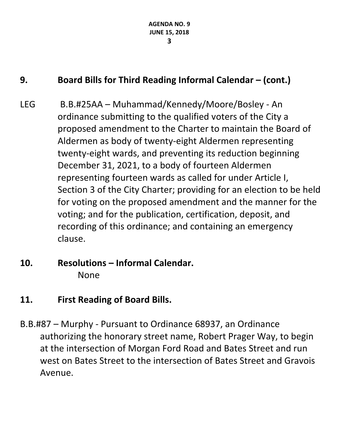# **9. Board Bills for Third Reading Informal Calendar – (cont.)**

- LEG B.B.#25AA Muhammad/Kennedy/Moore/Bosley An ordinance submitting to the qualified voters of the City a proposed amendment to the Charter to maintain the Board of Aldermen as body of twenty-eight Aldermen representing twenty-eight wards, and preventing its reduction beginning December 31, 2021, to a body of fourteen Aldermen representing fourteen wards as called for under Article I, Section 3 of the City Charter; providing for an election to be held for voting on the proposed amendment and the manner for the voting; and for the publication, certification, deposit, and recording of this ordinance; and containing an emergency clause.
- **10. Resolutions – Informal Calendar.** None
- **11. First Reading of Board Bills.**
- B.B.#87 Murphy Pursuant to Ordinance 68937, an Ordinance authorizing the honorary street name, Robert Prager Way, to begin at the intersection of Morgan Ford Road and Bates Street and run west on Bates Street to the intersection of Bates Street and Gravois Avenue.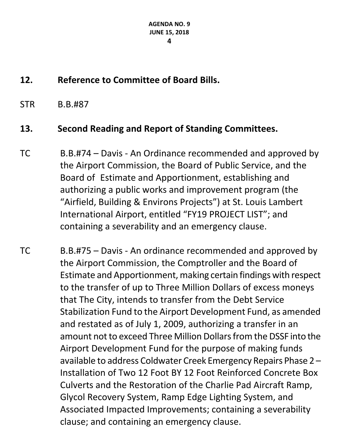# **12. Reference to Committee of Board Bills.**

STR B.B.#87

### **13. Second Reading and Report of Standing Committees.**

- TC B.B.#74 Davis An Ordinance recommended and approved by the Airport Commission, the Board of Public Service, and the Board of Estimate and Apportionment, establishing and authorizing a public works and improvement program (the "Airfield, Building & Environs Projects") at St. Louis Lambert International Airport, entitled "FY19 PROJECT LIST"; and containing a severability and an emergency clause.
- TC B.B.#75 Davis An ordinance recommended and approved by the Airport Commission, the Comptroller and the Board of Estimate and Apportionment, making certain findings with respect to the transfer of up to Three Million Dollars of excess moneys that The City, intends to transfer from the Debt Service Stabilization Fund to the Airport Development Fund, as amended and restated as of July 1, 2009, authorizing a transfer in an amount not to exceed Three Million Dollarsfrom the DSSF into the Airport Development Fund for the purpose of making funds available to address Coldwater Creek Emergency Repairs Phase 2 – Installation of Two 12 Foot BY 12 Foot Reinforced Concrete Box Culverts and the Restoration of the Charlie Pad Aircraft Ramp, Glycol Recovery System, Ramp Edge Lighting System, and Associated Impacted Improvements; containing a severability clause; and containing an emergency clause.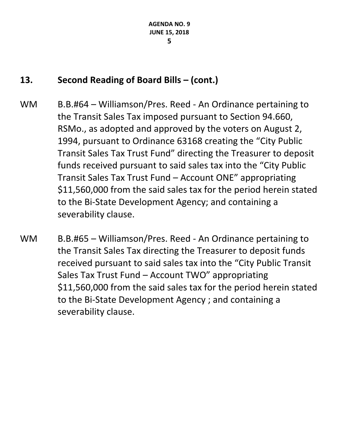## **13. Second Reading of Board Bills – (cont.)**

- WM B.B.#64 Williamson/Pres. Reed An Ordinance pertaining to the Transit Sales Tax imposed pursuant to Section 94.660, RSMo., as adopted and approved by the voters on August 2, 1994, pursuant to Ordinance 63168 creating the "City Public Transit Sales Tax Trust Fund" directing the Treasurer to deposit funds received pursuant to said sales tax into the "City Public Transit Sales Tax Trust Fund – Account ONE" appropriating \$11,560,000 from the said sales tax for the period herein stated to the Bi-State Development Agency; and containing a severability clause.
- WM B.B.#65 Williamson/Pres. Reed An Ordinance pertaining to the Transit Sales Tax directing the Treasurer to deposit funds received pursuant to said sales tax into the "City Public Transit Sales Tax Trust Fund – Account TWO" appropriating \$11,560,000 from the said sales tax for the period herein stated to the Bi-State Development Agency ; and containing a severability clause.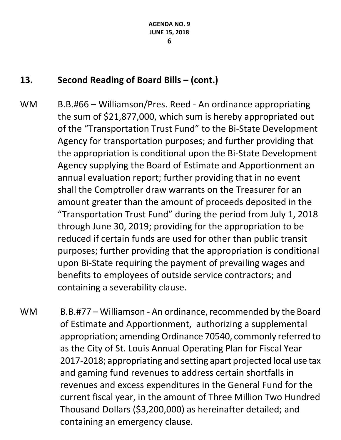## **13. Second Reading of Board Bills – (cont.)**

- WM B.B.#66 Williamson/Pres. Reed An ordinance appropriating the sum of \$21,877,000, which sum is hereby appropriated out of the "Transportation Trust Fund" to the Bi-State Development Agency for transportation purposes; and further providing that the appropriation is conditional upon the Bi-State Development Agency supplying the Board of Estimate and Apportionment an annual evaluation report; further providing that in no event shall the Comptroller draw warrants on the Treasurer for an amount greater than the amount of proceeds deposited in the "Transportation Trust Fund" during the period from July 1, 2018 through June 30, 2019; providing for the appropriation to be reduced if certain funds are used for other than public transit purposes; further providing that the appropriation is conditional upon Bi-State requiring the payment of prevailing wages and benefits to employees of outside service contractors; and containing a severability clause.
- WM B.B.#77 Williamson An ordinance, recommended by the Board of Estimate and Apportionment, authorizing a supplemental appropriation; amending Ordinance 70540, commonly referred to as the City of St. Louis Annual Operating Plan for Fiscal Year 2017-2018; appropriating and setting apart projected local use tax and gaming fund revenues to address certain shortfalls in revenues and excess expenditures in the General Fund for the current fiscal year, in the amount of Three Million Two Hundred Thousand Dollars (\$3,200,000) as hereinafter detailed; and containing an emergency clause.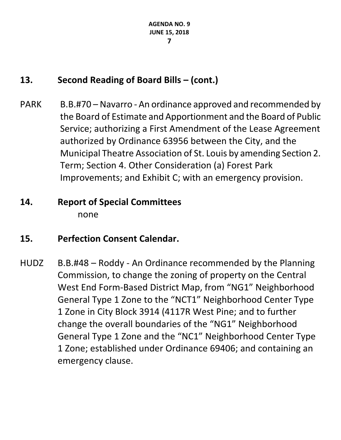# **13. Second Reading of Board Bills – (cont.)**

PARK B.B.#70 – Navarro - An ordinance approved and recommended by the Board of Estimate and Apportionment and the Board of Public Service; authorizing a First Amendment of the Lease Agreement authorized by Ordinance 63956 between the City, and the Municipal Theatre Association of St. Louis by amending Section 2. Term; Section 4. Other Consideration (a) Forest Park Improvements; and Exhibit C; with an emergency provision.

# **14. Report of Special Committees** none

# **15. Perfection Consent Calendar.**

HUDZ B.B.#48 – Roddy - An Ordinance recommended by the Planning Commission, to change the zoning of property on the Central West End Form-Based District Map, from "NG1" Neighborhood General Type 1 Zone to the "NCT1" Neighborhood Center Type 1 Zone in City Block 3914 (4117R West Pine; and to further change the overall boundaries of the "NG1" Neighborhood General Type 1 Zone and the "NC1" Neighborhood Center Type 1 Zone; established under Ordinance 69406; and containing an emergency clause.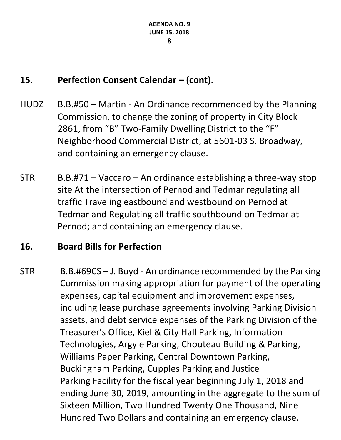## **15. Perfection Consent Calendar – (cont).**

- HUDZ B.B.#50 Martin An Ordinance recommended by the Planning Commission, to change the zoning of property in City Block 2861, from "B" Two-Family Dwelling District to the "F" Neighborhood Commercial District, at 5601-03 S. Broadway, and containing an emergency clause.
- $STR$  B.B.#71 Vaccaro An ordinance establishing a three-way stop site At the intersection of Pernod and Tedmar regulating all traffic Traveling eastbound and westbound on Pernod at Tedmar and Regulating all traffic southbound on Tedmar at Pernod; and containing an emergency clause.

## **16. Board Bills for Perfection**

STR B.B.#69CS – J. Boyd - An ordinance recommended by the Parking Commission making appropriation for payment of the operating expenses, capital equipment and improvement expenses, including lease purchase agreements involving Parking Division assets, and debt service expenses of the Parking Division of the Treasurer's Office, Kiel & City Hall Parking, Information Technologies, Argyle Parking, Chouteau Building & Parking, Williams Paper Parking, Central Downtown Parking, Buckingham Parking, Cupples Parking and Justice Parking Facility for the fiscal year beginning July 1, 2018 and ending June 30, 2019, amounting in the aggregate to the sum of Sixteen Million, Two Hundred Twenty One Thousand, Nine Hundred Two Dollars and containing an emergency clause.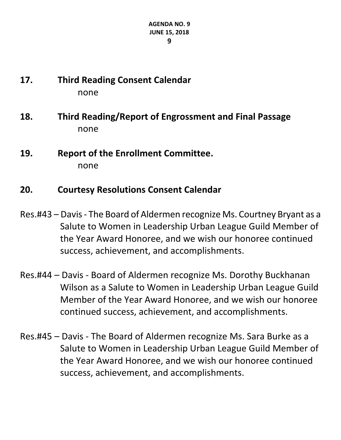- **17. Third Reading Consent Calendar** none
- **18. Third Reading/Report of Engrossment and Final Passage** none
- **19. Report of the Enrollment Committee.** none

#### **20. Courtesy Resolutions Consent Calendar**

- Res.#43 Davis The Board of Aldermen recognize Ms. Courtney Bryant as a Salute to Women in Leadership Urban League Guild Member of the Year Award Honoree, and we wish our honoree continued success, achievement, and accomplishments.
- Res.#44 Davis Board of Aldermen recognize Ms. Dorothy Buckhanan Wilson as a Salute to Women in Leadership Urban League Guild Member of the Year Award Honoree, and we wish our honoree continued success, achievement, and accomplishments.
- Res.#45 Davis The Board of Aldermen recognize Ms. Sara Burke as a Salute to Women in Leadership Urban League Guild Member of the Year Award Honoree, and we wish our honoree continued success, achievement, and accomplishments.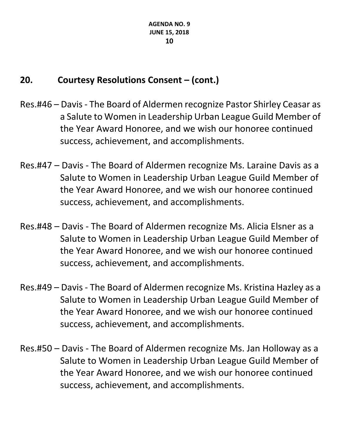- Res.#46 Davis The Board of Aldermen recognize Pastor Shirley Ceasar as a Salute to Women in Leadership Urban League Guild Member of the Year Award Honoree, and we wish our honoree continued success, achievement, and accomplishments.
- Res.#47 Davis The Board of Aldermen recognize Ms. Laraine Davis as a Salute to Women in Leadership Urban League Guild Member of the Year Award Honoree, and we wish our honoree continued success, achievement, and accomplishments.
- Res.#48 Davis The Board of Aldermen recognize Ms. Alicia Elsner as a Salute to Women in Leadership Urban League Guild Member of the Year Award Honoree, and we wish our honoree continued success, achievement, and accomplishments.
- Res.#49 Davis The Board of Aldermen recognize Ms. Kristina Hazley as a Salute to Women in Leadership Urban League Guild Member of the Year Award Honoree, and we wish our honoree continued success, achievement, and accomplishments.
- Res.#50 Davis The Board of Aldermen recognize Ms. Jan Holloway as a Salute to Women in Leadership Urban League Guild Member of the Year Award Honoree, and we wish our honoree continued success, achievement, and accomplishments.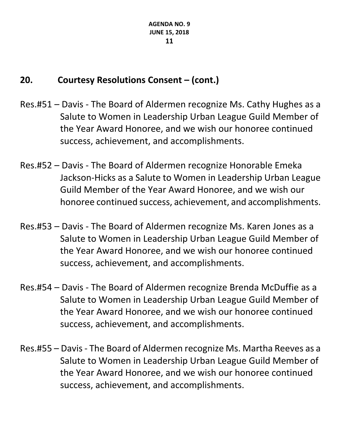- Res.#51 Davis The Board of Aldermen recognize Ms. Cathy Hughes as a Salute to Women in Leadership Urban League Guild Member of the Year Award Honoree, and we wish our honoree continued success, achievement, and accomplishments.
- Res.#52 Davis The Board of Aldermen recognize Honorable Emeka Jackson-Hicks as a Salute to Women in Leadership Urban League Guild Member of the Year Award Honoree, and we wish our honoree continued success, achievement, and accomplishments.
- Res.#53 Davis The Board of Aldermen recognize Ms. Karen Jones as a Salute to Women in Leadership Urban League Guild Member of the Year Award Honoree, and we wish our honoree continued success, achievement, and accomplishments.
- Res.#54 Davis The Board of Aldermen recognize Brenda McDuffie as a Salute to Women in Leadership Urban League Guild Member of the Year Award Honoree, and we wish our honoree continued success, achievement, and accomplishments.
- Res.#55 Davis The Board of Aldermen recognize Ms. Martha Reeves as a Salute to Women in Leadership Urban League Guild Member of the Year Award Honoree, and we wish our honoree continued success, achievement, and accomplishments.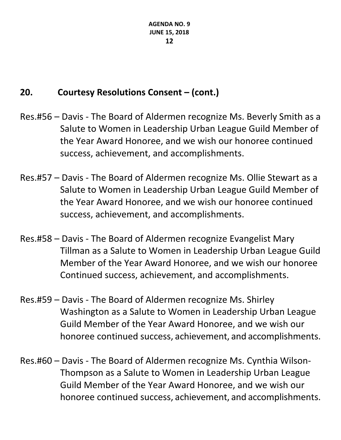- Res.#56 Davis The Board of Aldermen recognize Ms. Beverly Smith as a Salute to Women in Leadership Urban League Guild Member of the Year Award Honoree, and we wish our honoree continued success, achievement, and accomplishments.
- Res.#57 Davis The Board of Aldermen recognize Ms. Ollie Stewart as a Salute to Women in Leadership Urban League Guild Member of the Year Award Honoree, and we wish our honoree continued success, achievement, and accomplishments.
- Res.#58 Davis The Board of Aldermen recognize Evangelist Mary Tillman as a Salute to Women in Leadership Urban League Guild Member of the Year Award Honoree, and we wish our honoree Continued success, achievement, and accomplishments.
- Res.#59 Davis The Board of Aldermen recognize Ms. Shirley Washington as a Salute to Women in Leadership Urban League Guild Member of the Year Award Honoree, and we wish our honoree continued success, achievement, and accomplishments.
- Res.#60 Davis The Board of Aldermen recognize Ms. Cynthia Wilson-Thompson as a Salute to Women in Leadership Urban League Guild Member of the Year Award Honoree, and we wish our honoree continued success, achievement, and accomplishments.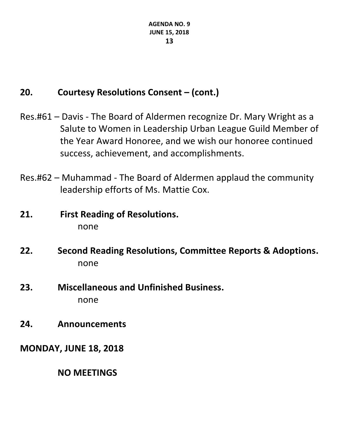- Res.#61 Davis The Board of Aldermen recognize Dr. Mary Wright as a Salute to Women in Leadership Urban League Guild Member of the Year Award Honoree, and we wish our honoree continued success, achievement, and accomplishments.
- Res.#62 Muhammad The Board of Aldermen applaud the community leadership efforts of Ms. Mattie Cox.

## **21. First Reading of Resolutions.** none

- **22. Second Reading Resolutions, Committee Reports & Adoptions.** none
- **23. Miscellaneous and Unfinished Business.** none
- **24. Announcements**

**MONDAY, JUNE 18, 2018**

**NO MEETINGS**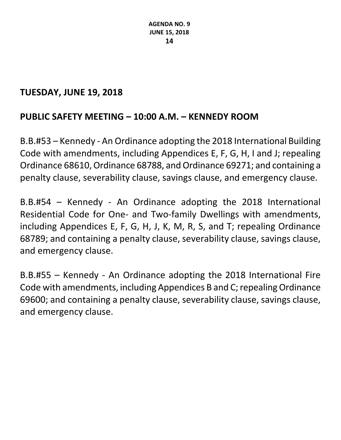#### **TUESDAY, JUNE 19, 2018**

## **PUBLIC SAFETY MEETING – 10:00 A.M. – KENNEDY ROOM**

B.B.#53 – Kennedy - An Ordinance adopting the 2018 International Building Code with amendments, including Appendices E, F, G, H, I and J; repealing Ordinance 68610, Ordinance 68788, and Ordinance 69271; and containing a penalty clause, severability clause, savings clause, and emergency clause.

B.B.#54 – Kennedy - An Ordinance adopting the 2018 International Residential Code for One- and Two-family Dwellings with amendments, including Appendices E, F, G, H, J, K, M, R, S, and T; repealing Ordinance 68789; and containing a penalty clause, severability clause, savings clause, and emergency clause.

B.B.#55 – Kennedy - An Ordinance adopting the 2018 International Fire Code with amendments, including Appendices B and C; repealing Ordinance 69600; and containing a penalty clause, severability clause, savings clause, and emergency clause.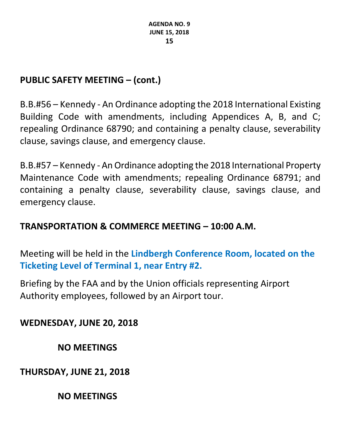## **PUBLIC SAFETY MEETING – (cont.)**

B.B.#56 – Kennedy - An Ordinance adopting the 2018 International Existing Building Code with amendments, including Appendices A, B, and C; repealing Ordinance 68790; and containing a penalty clause, severability clause, savings clause, and emergency clause.

B.B.#57 – Kennedy - An Ordinance adopting the 2018 International Property Maintenance Code with amendments; repealing Ordinance 68791; and containing a penalty clause, severability clause, savings clause, and emergency clause.

### **TRANSPORTATION & COMMERCE MEETING – 10:00 A.M.**

Meeting will be held in the **Lindbergh Conference Room, located on the Ticketing Level of Terminal 1, near Entry #2.**

Briefing by the FAA and by the Union officials representing Airport Authority employees, followed by an Airport tour.

### **WEDNESDAY, JUNE 20, 2018**

**NO MEETINGS**

**THURSDAY, JUNE 21, 2018**

**NO MEETINGS**